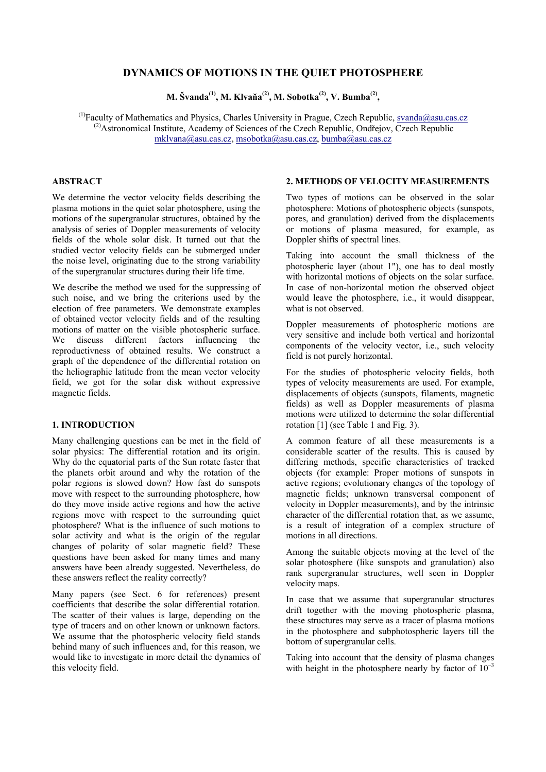# **DYNAMICS OF MOTIONS IN THE QUIET PHOTOSPHERE**

**M. ävanda(1), M. Klvaňa(2), M. Sobotka(2), V. Bumba(2),**

 $^{(1)}$ Faculty of Mathematics and Physics, Charles University in Prague, Czech Republic, [svanda@asu.cas.cz](mailto:svanda@asu.cas.cz)  $^{(2)}$ Astronomical Institute, Academy of Sciences of the Czech Republic, Ondřejov, Czech Republic [mklvana@asu.cas.cz, msobotka@asu.cas.cz,](mailto:mklvana@asu.cas.cz) [bumba@asu.cas.cz](mailto:bumba@asu.cas.cz)

## **ABSTRACT**

We determine the vector velocity fields describing the plasma motions in the quiet solar photosphere, using the motions of the supergranular structures, obtained by the analysis of series of Doppler measurements of velocity fields of the whole solar disk. It turned out that the studied vector velocity fields can be submerged under the noise level, originating due to the strong variability of the supergranular structures during their life time.

We describe the method we used for the suppressing of such noise, and we bring the criterions used by the election of free parameters. We demonstrate examples of obtained vector velocity fields and of the resulting motions of matter on the visible photospheric surface. We discuss different factors influencing the reproductivness of obtained results. We construct a graph of the dependence of the differential rotation on the heliographic latitude from the mean vector velocity field, we got for the solar disk without expressive magnetic fields.

#### **1. INTRODUCTION**

Many challenging questions can be met in the field of solar physics: The differential rotation and its origin. Why do the equatorial parts of the Sun rotate faster that the planets orbit around and why the rotation of the polar regions is slowed down? How fast do sunspots move with respect to the surrounding photosphere, how do they move inside active regions and how the active regions move with respect to the surrounding quiet photosphere? What is the influence of such motions to solar activity and what is the origin of the regular changes of polarity of solar magnetic field? These questions have been asked for many times and many answers have been already suggested. Nevertheless, do these answers reflect the reality correctly?

Many papers (see Sect. 6 for references) present coefficients that describe the solar differential rotation. The scatter of their values is large, depending on the type of tracers and on other known or unknown factors. We assume that the photospheric velocity field stands behind many of such influences and, for this reason, we would like to investigate in more detail the dynamics of this velocity field.

## **2. METHODS OF VELOCITY MEASUREMENTS**

Two types of motions can be observed in the solar photosphere: Motions of photospheric objects (sunspots, pores, and granulation) derived from the displacements or motions of plasma measured, for example, as Doppler shifts of spectral lines.

Taking into account the small thickness of the photospheric layer (about 1"), one has to deal mostly with horizontal motions of objects on the solar surface. In case of non-horizontal motion the observed object would leave the photosphere, i.e., it would disappear, what is not observed.

Doppler measurements of photospheric motions are very sensitive and include both vertical and horizontal components of the velocity vector, i.e., such velocity field is not purely horizontal.

For the studies of photospheric velocity fields, both types of velocity measurements are used. For example, displacements of objects (sunspots, filaments, magnetic fields) as well as Doppler measurements of plasma motions were utilized to determine the solar differential rotation [1] (see Table 1 and Fig. 3).

A common feature of all these measurements is a considerable scatter of the results. This is caused by differing methods, specific characteristics of tracked objects (for example: Proper motions of sunspots in active regions; evolutionary changes of the topology of magnetic fields; unknown transversal component of velocity in Doppler measurements), and by the intrinsic character of the differential rotation that, as we assume, is a result of integration of a complex structure of motions in all directions.

Among the suitable objects moving at the level of the solar photosphere (like sunspots and granulation) also rank supergranular structures, well seen in Doppler velocity maps.

In case that we assume that supergranular structures drift together with the moving photospheric plasma, these structures may serve as a tracer of plasma motions in the photosphere and subphotospheric layers till the bottom of supergranular cells.

Taking into account that the density of plasma changes with height in the photosphere nearly by factor of  $10^{-3}$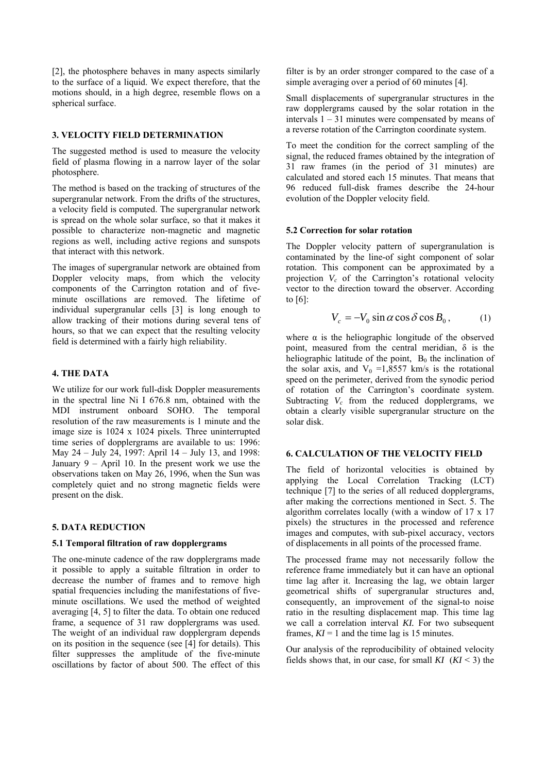[2], the photosphere behaves in many aspects similarly to the surface of a liquid. We expect therefore, that the motions should, in a high degree, resemble flows on a spherical surface.

## **3. VELOCITY FIELD DETERMINATION**

The suggested method is used to measure the velocity field of plasma flowing in a narrow layer of the solar photosphere.

The method is based on the tracking of structures of the supergranular network. From the drifts of the structures, a velocity field is computed. The supergranular network is spread on the whole solar surface, so that it makes it possible to characterize non-magnetic and magnetic regions as well, including active regions and sunspots that interact with this network.

The images of supergranular network are obtained from Doppler velocity maps, from which the velocity components of the Carrington rotation and of fiveminute oscillations are removed. The lifetime of individual supergranular cells [3] is long enough to allow tracking of their motions during several tens of hours, so that we can expect that the resulting velocity field is determined with a fairly high reliability.

## **4. THE DATA**

We utilize for our work full-disk Doppler measurements in the spectral line Ni I 676.8 nm, obtained with the MDI instrument onboard SOHO. The temporal resolution of the raw measurements is 1 minute and the image size is 1024 x 1024 pixels. Three uninterrupted time series of dopplergrams are available to us: 1996: May 24 – July 24, 1997: April  $14$  – July 13, and 1998: January  $9 -$  April 10. In the present work we use the observations taken on May 26, 1996, when the Sun was completely quiet and no strong magnetic fields were present on the disk.

#### **5. DATA REDUCTION**

#### **5.1 Temporal filtration of raw dopplergrams**

The one-minute cadence of the raw dopplergrams made it possible to apply a suitable filtration in order to decrease the number of frames and to remove high spatial frequencies including the manifestations of fiveminute oscillations. We used the method of weighted averaging [4, 5] to filter the data. To obtain one reduced frame, a sequence of 31 raw dopplergrams was used. The weight of an individual raw dopplergram depends on its position in the sequence (see [4] for details). This filter suppresses the amplitude of the five-minute oscillations by factor of about 500. The effect of this filter is by an order stronger compared to the case of a simple averaging over a period of 60 minutes [4].

Small displacements of supergranular structures in the raw dopplergrams caused by the solar rotation in the intervals  $1 - 31$  minutes were compensated by means of a reverse rotation of the Carrington coordinate system.

To meet the condition for the correct sampling of the signal, the reduced frames obtained by the integration of 31 raw frames (in the period of 31 minutes) are calculated and stored each 15 minutes. That means that 96 reduced full-disk frames describe the 24-hour evolution of the Doppler velocity field.

### **5.2 Correction for solar rotation**

The Doppler velocity pattern of supergranulation is contaminated by the line-of sight component of solar rotation. This component can be approximated by a projection  $V_c$  of the Carrington's rotational velocity vector to the direction toward the observer. According to [6]:

$$
V_c = -V_0 \sin \alpha \cos \delta \cos B_0, \qquad (1)
$$

where  $\alpha$  is the heliographic longitude of the observed point, measured from the central meridian, δ is the heliographic latitude of the point,  $B_0$  the inclination of the solar axis, and  $V_0 = 1,8557$  km/s is the rotational speed on the perimeter, derived from the synodic period of rotation of the Carrington's coordinate system. Subtracting  $V_c$  from the reduced dopplergrams, we obtain a clearly visible supergranular structure on the solar disk.

### **6. CALCULATION OF THE VELOCITY FIELD**

The field of horizontal velocities is obtained by applying the Local Correlation Tracking (LCT) technique [7] to the series of all reduced dopplergrams, after making the corrections mentioned in Sect. 5. The algorithm correlates locally (with a window of 17 x 17 pixels) the structures in the processed and reference images and computes, with sub-pixel accuracy, vectors of displacements in all points of the processed frame.

The processed frame may not necessarily follow the reference frame immediately but it can have an optional time lag after it. Increasing the lag, we obtain larger geometrical shifts of supergranular structures and, consequently, an improvement of the signal-to noise ratio in the resulting displacement map. This time lag we call a correlation interval *KI*. For two subsequent frames,  $KI = 1$  and the time lag is 15 minutes.

Our analysis of the reproducibility of obtained velocity fields shows that, in our case, for small  $KI$   $(KI \leq 3)$  the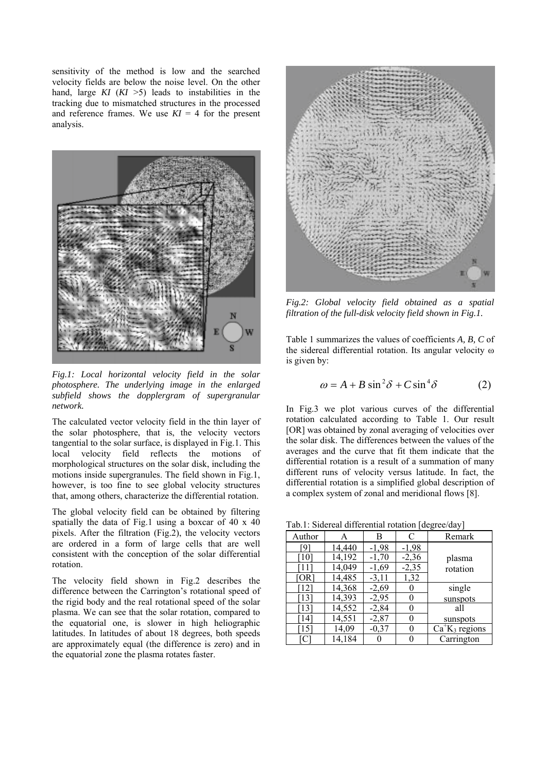sensitivity of the method is low and the searched velocity fields are below the noise level. On the other hand, large  $KI$   $(KI > 5)$  leads to instabilities in the tracking due to mismatched structures in the processed and reference frames. We use  $KI = 4$  for the present analysis.



*Fig.1: Local horizontal velocity field in the solar photosphere. The underlying image in the enlarged subfield shows the dopplergram of supergranular network.*

The calculated vector velocity field in the thin layer of the solar photosphere, that is, the velocity vectors tangential to the solar surface, is displayed in Fig.1. This local velocity field reflects the motions of morphological structures on the solar disk, including the motions inside supergranules. The field shown in Fig.1, however, is too fine to see global velocity structures that, among others, characterize the differential rotation.

The global velocity field can be obtained by filtering spatially the data of Fig.1 using a boxcar of 40 x 40 pixels. After the filtration (Fig.2), the velocity vectors are ordered in a form of large cells that are well consistent with the conception of the solar differential rotation.

The velocity field shown in Fig.2 describes the difference between the Carrington's rotational speed of the rigid body and the real rotational speed of the solar plasma. We can see that the solar rotation, compared to the equatorial one, is slower in high heliographic latitudes. In latitudes of about 18 degrees, both speeds are approximately equal (the difference is zero) and in the equatorial zone the plasma rotates faster.



*Fig.2: Global velocity field obtained as a spatial filtration of the full-disk velocity field shown in Fig.1.*

Table 1 summarizes the values of coefficients *A, B, C* of the sidereal differential rotation. Its angular velocity ω is given by:

$$
\omega = A + B \sin^2 \delta + C \sin^4 \delta \tag{2}
$$

In Fig.3 we plot various curves of the differential rotation calculated according to Table 1. Our result [OR] was obtained by zonal averaging of velocities over the solar disk. The differences between the values of the averages and the curve that fit them indicate that the differential rotation is a result of a summation of many different runs of velocity versus latitude. In fact, the differential rotation is a simplified global description of a complex system of zonal and meridional flows [8].

Tab.1: Sidereal differential rotation [degree/day]

| rao.r. Skicicar differentiar foldifoli pueglec/day |        |         |         |                             |
|----------------------------------------------------|--------|---------|---------|-----------------------------|
| Author                                             |        | В       | C       | Remark                      |
| 0.                                                 | 14.440 | $-1,98$ | $-1,98$ |                             |
| $\lceil 10 \rceil$                                 | 14,192 | $-1,70$ | $-2,36$ | plasma                      |
|                                                    | 14,049 | $-1,69$ | $-2,35$ | rotation                    |
| [OR]                                               | 14,485 | $-3,11$ | 1,32    |                             |
| [12]                                               | 14,368 | $-2,69$ |         | single                      |
| 131                                                | 14,393 | $-2,95$ |         | sunspots                    |
| $\lceil 13 \rceil$                                 | 14,552 | $-2,84$ |         | all                         |
| $\lceil 14 \rceil$                                 | 14,551 | $-2,87$ |         | sunspots                    |
| '151                                               | 14,09  | $-0,37$ | 0       | $Ca+K$ <sub>3</sub> regions |
| ГC                                                 | 14,184 |         |         | Carrington                  |